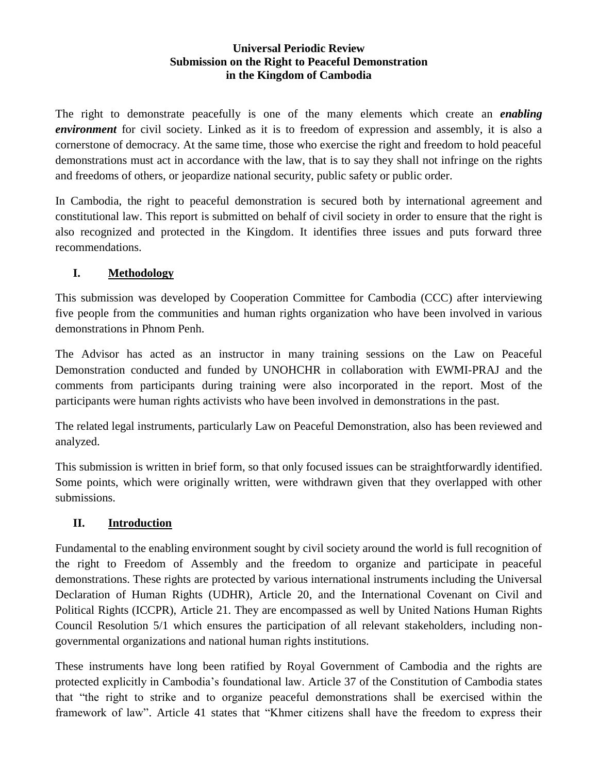#### **Universal Periodic Review Submission on the Right to Peaceful Demonstration in the Kingdom of Cambodia**

The right to demonstrate peacefully is one of the many elements which create an *enabling environment* for civil society. Linked as it is to freedom of expression and assembly, it is also a cornerstone of democracy. At the same time, those who exercise the right and freedom to hold peaceful demonstrations must act in accordance with the law, that is to say they shall not infringe on the rights and freedoms of others, or jeopardize national security, public safety or public order.

In Cambodia, the right to peaceful demonstration is secured both by international agreement and constitutional law. This report is submitted on behalf of civil society in order to ensure that the right is also recognized and protected in the Kingdom. It identifies three issues and puts forward three recommendations.

### **I. Methodology**

This submission was developed by Cooperation Committee for Cambodia (CCC) after interviewing five people from the communities and human rights organization who have been involved in various demonstrations in Phnom Penh.

The Advisor has acted as an instructor in many training sessions on the Law on Peaceful Demonstration conducted and funded by UNOHCHR in collaboration with EWMI-PRAJ and the comments from participants during training were also incorporated in the report. Most of the participants were human rights activists who have been involved in demonstrations in the past.

The related legal instruments, particularly Law on Peaceful Demonstration, also has been reviewed and analyzed.

This submission is written in brief form, so that only focused issues can be straightforwardly identified. Some points, which were originally written, were withdrawn given that they overlapped with other submissions.

# **II. Introduction**

Fundamental to the enabling environment sought by civil society around the world is full recognition of the right to Freedom of Assembly and the freedom to organize and participate in peaceful demonstrations. These rights are protected by various international instruments including the Universal Declaration of Human Rights (UDHR), Article 20, and the International Covenant on Civil and Political Rights (ICCPR), Article 21. They are encompassed as well by United Nations Human Rights Council Resolution 5/1 which ensures the participation of all relevant stakeholders, including nongovernmental organizations and national human rights institutions.

These instruments have long been ratified by Royal Government of Cambodia and the rights are protected explicitly in Cambodia's foundational law. Article 37 of the Constitution of Cambodia states that "the right to strike and to organize peaceful demonstrations shall be exercised within the framework of law". Article 41 states that "Khmer citizens shall have the freedom to express their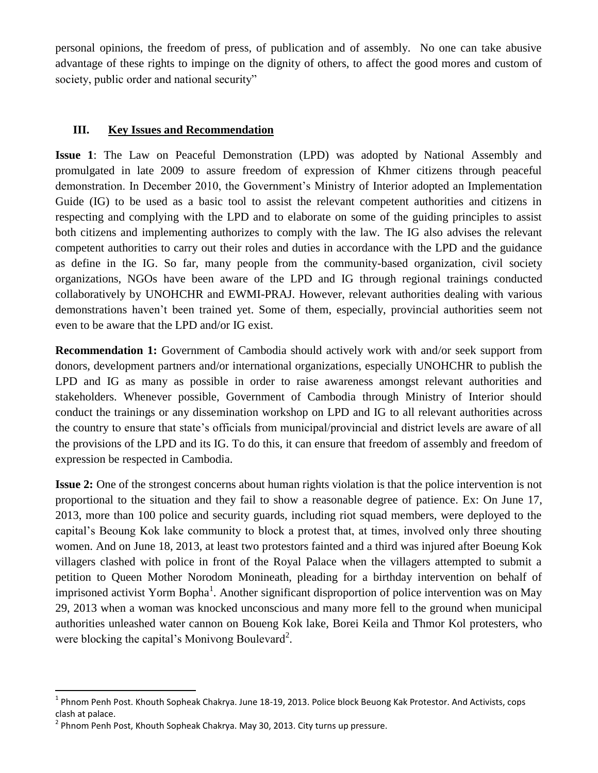personal opinions, the freedom of press, of publication and of assembly. No one can take abusive advantage of these rights to impinge on the dignity of others, to affect the good mores and custom of society, public order and national security"

#### **III. Key Issues and Recommendation**

**Issue 1**: The Law on Peaceful Demonstration (LPD) was adopted by National Assembly and promulgated in late 2009 to assure freedom of expression of Khmer citizens through peaceful demonstration. In December 2010, the Government's Ministry of Interior adopted an Implementation Guide (IG) to be used as a basic tool to assist the relevant competent authorities and citizens in respecting and complying with the LPD and to elaborate on some of the guiding principles to assist both citizens and implementing authorizes to comply with the law. The IG also advises the relevant competent authorities to carry out their roles and duties in accordance with the LPD and the guidance as define in the IG. So far, many people from the community-based organization, civil society organizations, NGOs have been aware of the LPD and IG through regional trainings conducted collaboratively by UNOHCHR and EWMI-PRAJ. However, relevant authorities dealing with various demonstrations haven't been trained yet. Some of them, especially, provincial authorities seem not even to be aware that the LPD and/or IG exist.

**Recommendation 1:** Government of Cambodia should actively work with and/or seek support from donors, development partners and/or international organizations, especially UNOHCHR to publish the LPD and IG as many as possible in order to raise awareness amongst relevant authorities and stakeholders. Whenever possible, Government of Cambodia through Ministry of Interior should conduct the trainings or any dissemination workshop on LPD and IG to all relevant authorities across the country to ensure that state's officials from municipal/provincial and district levels are aware of all the provisions of the LPD and its IG. To do this, it can ensure that freedom of assembly and freedom of expression be respected in Cambodia.

**Issue 2:** One of the strongest concerns about human rights violation is that the police intervention is not proportional to the situation and they fail to show a reasonable degree of patience. Ex: On June 17, 2013, more than 100 police and security guards, including riot squad members, were deployed to the capital's Beoung Kok lake community to block a protest that, at times, involved only three shouting women. And on June 18, 2013, at least two protestors fainted and a third was injured after Boeung Kok villagers clashed with police in front of the Royal Palace when the villagers attempted to submit a petition to Queen Mother Norodom Monineath, pleading for a birthday intervention on behalf of imprisoned activist Yorm Bopha<sup>1</sup>. Another significant disproportion of police intervention was on May 29, 2013 when a woman was knocked unconscious and many more fell to the ground when municipal authorities unleashed water cannon on Boueng Kok lake, Borei Keila and Thmor Kol protesters, who were blocking the capital's Monivong Boulevard<sup>2</sup>.

l

<sup>&</sup>lt;sup>1</sup> Phnom Penh Post. Khouth Sopheak Chakrya. June 18-19, 2013. Police block Beuong Kak Protestor. And Activists, cops clash at palace.

 $^2$  Phnom Penh Post, Khouth Sopheak Chakrya. May 30, 2013. City turns up pressure.